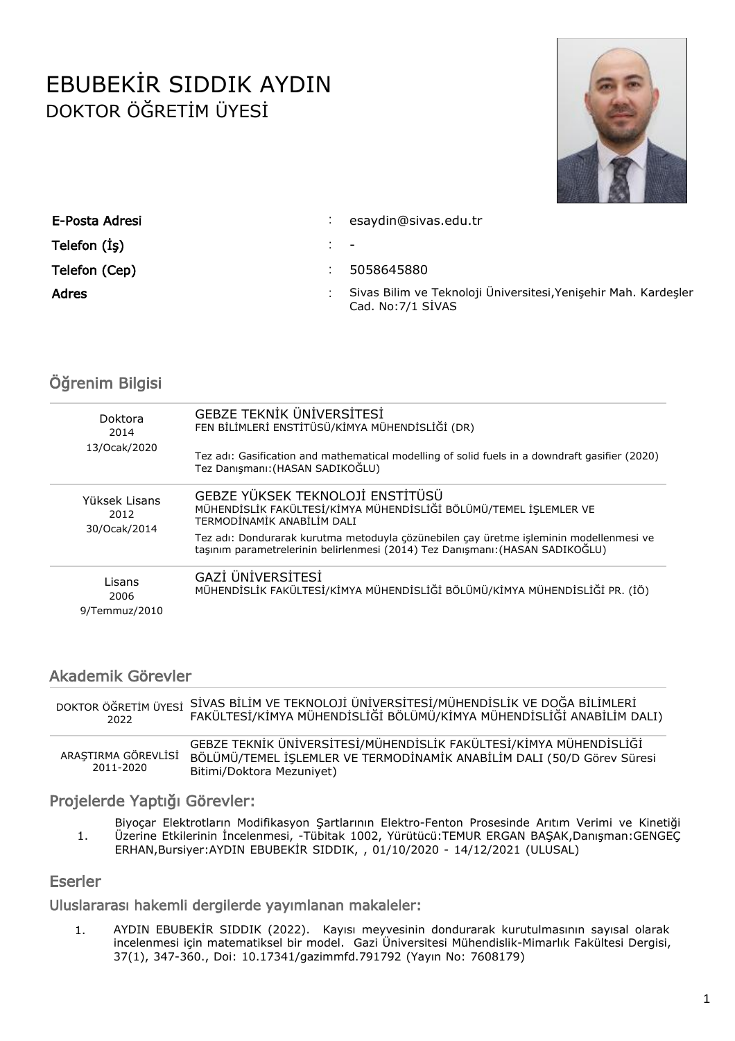# EBUBEKİR SIDDIK AYDIN DOKTOR ÖĞRETİM ÜYESİ



| E-Posta Adresi | esaydin@sivas.edu.tr                                                                  |
|----------------|---------------------------------------------------------------------------------------|
| Telefon (Is)   |                                                                                       |
| Telefon (Cep)  | 5058645880                                                                            |
| Adres          | Sivas Bilim ve Teknoloji Üniversitesi, Yenişehir Mah. Kardeşler<br>Cad. No: 7/1 SIVAS |

# Öğrenim Bilgisi

| Doktora<br>2014<br>13/Ocak/2020 | <b>GEBZE TEKNİK ÜNİVERSİTESİ</b><br>FEN BİLİMLERİ ENSTİTÜSÜ/KİMYA MÜHENDİSLİĞİ (DR)                                                                                     |
|---------------------------------|-------------------------------------------------------------------------------------------------------------------------------------------------------------------------|
|                                 | Tez adı: Gasification and mathematical modelling of solid fuels in a downdraft gasifier (2020)<br>Tez Danışmanı: (HASAN SADIKOĞLU)                                      |
| Yüksek Lisans<br>2012           | GEBZE YÜKSEK TEKNOLOJİ ENSTİTÜSÜ<br>MÜHENDİSLİK FAKÜLTESİ/KİMYA MÜHENDİSLİĞİ BÖLÜMÜ/TEMEL İŞLEMLER VE<br>TERMODİNAMİK ANABİLİM DALI                                     |
| 30/Ocak/2014                    | Tez adı: Dondurarak kurutma metoduyla çözünebilen çay üretme işleminin modellenmesi ve<br>taşınım parametrelerinin belirlenmesi (2014) Tez Danışmanı: (HASAN SADIKOĞLU) |
| Lisans<br>2006<br>9/Temmuz/2010 | GAZİ ÜNİVERSİTESİ<br>MÜHENDİSLİK FAKÜLTESİ/KİMYA MÜHENDİSLİĞİ BÖLÜMÜ/KİMYA MÜHENDİSLİĞİ PR. (İÖ)                                                                        |

## Akademik Görevler

| DOKTOR ÖĞRETİM ÜYESİ             | SİVAS BİLİM VE TEKNOLOJİ ÜNİVERSİTESİ/MÜHENDİSLİK VE DOĞA BİLİMLERİ                                                                                                       |
|----------------------------------|---------------------------------------------------------------------------------------------------------------------------------------------------------------------------|
| 2022                             | FAKÜLTESİ/KİMYA MÜHENDİSLİĞİ BÖLÜMÜ/KİMYA MÜHENDİSLİĞİ ANABİLİM DALI)                                                                                                     |
| ARAŞTIRMA GÖREVLİSİ<br>2011-2020 | GEBZE TEKNIK ÜNIVERSITESI/MÜHENDISLIK FAKÜLTESI/KIMYA MÜHENDISLIĞI<br>BÖLÜMÜ/TEMEL İSLEMLER VE TERMODİNAMİK ANABİLİM DALI (50/D Görev Süresi<br>Bitimi/Doktora Mezuniyet) |

## Projelerde Yaptığı Görevler:

Biyoçar Elektrotların Modifikasyon Şartlarının Elektro-Fenton Prosesinde Arıtım Verimi ve Kinetiği Üzerine Etkilerinin İncelenmesi, -Tübitak 1002, Yürütücü:TEMUR ERGAN BAŞAK,Danışman:GENGEÇ ERHAN,Bursiyer:AYDIN EBUBEKİR SIDDIK, , 01/10/2020 - 14/12/2021 (ULUSAL) 1.

#### Eserler

Uluslararası hakemli dergilerde yayımlanan makaleler:

1. AYDIN EBUBEKİR SIDDIK (2022). Kayısı meyvesinin dondurarak kurutulmasının sayısal olarak incelenmesi için matematiksel bir model. Gazi Üniversitesi Mühendislik-Mimarlık Fakültesi Dergisi, 37(1), 347-360., Doi: 10.17341/gazimmfd.791792 (Yayın No: 7608179)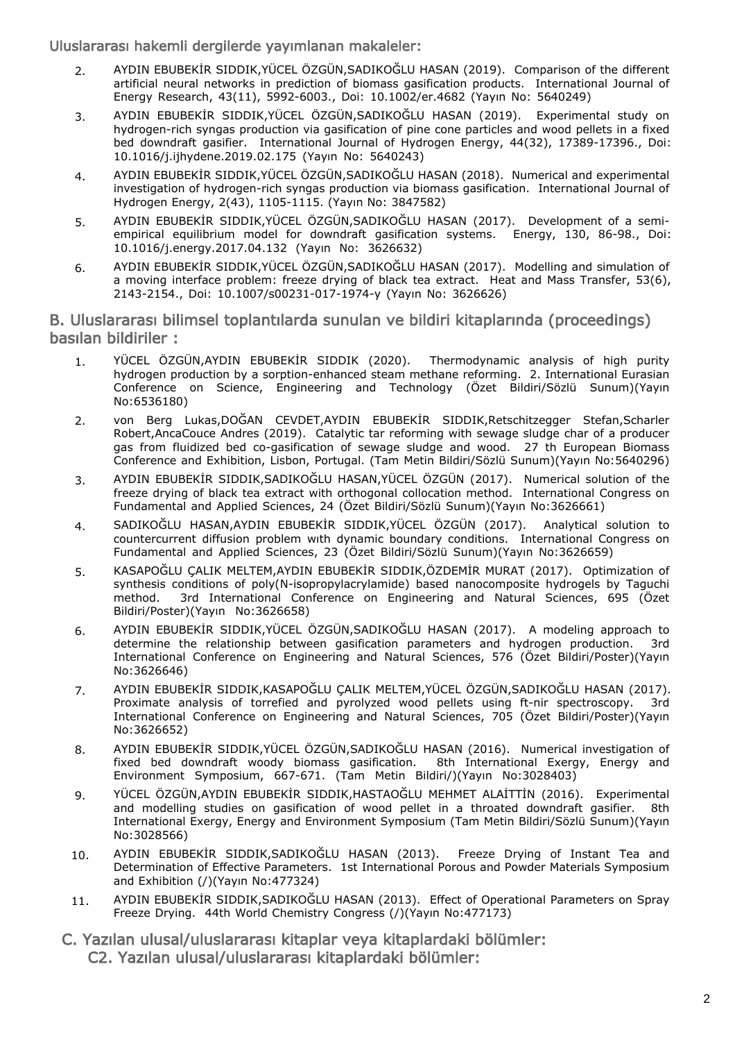Uluslararası hakemli dergilerde yayımlanan makaleler:

- 2. AYDIN EBUBEKİR SIDDIK,YÜCEL ÖZGÜN,SADIKOĞLU HASAN (2019). Comparison of the different artificial neural networks in prediction of biomass gasification products. International Journal of Energy Research, 43(11), 5992-6003., Doi: 10.1002/er.4682 (Yayın No: 5640249)
- 3. AYDIN EBUBEKİR SIDDIK,YÜCEL ÖZGÜN,SADIKOĞLU HASAN (2019). Experimental study on hydrogen-rich syngas production via gasification of pine cone particles and wood pellets in a fixed bed downdraft gasifier. International Journal of Hydrogen Energy, 44(32), 17389-17396., Doi: 10.1016/j.ijhydene.2019.02.175 (Yayın No: 5640243)
- 4. AYDIN EBUBEKİR SIDDIK,YÜCEL ÖZGÜN,SADIKOĞLU HASAN (2018). Numerical and experimental investigation of hydrogen-rich syngas production via biomass gasification. International Journal of Hydrogen Energy, 2(43), 1105-1115. (Yayın No: 3847582)
- 5. AYDIN EBUBEKİR SIDDIK,YÜCEL ÖZGÜN,SADIKOĞLU HASAN (2017). Development of a semiempirical equilibrium model for downdraft gasification systems. Energy, 130, 86-98., Doi: 10.1016/j.energy.2017.04.132 (Yayın No: 3626632)
- 6. AYDIN EBUBEKİR SIDDIK,YÜCEL ÖZGÜN,SADIKOĞLU HASAN (2017). Modelling and simulation of a moving interface problem: freeze drying of black tea extract. Heat and Mass Transfer, 53(6), 2143-2154., Doi: 10.1007/s00231-017-1974-y (Yayın No: 3626626)

#### B. Uluslararası bilimsel toplantılarda sunulan ve bildiri kitaplarında (proceedings) basılan bildiriler :

- YÜCEL ÖZGÜN,AYDIN EBUBEKİR SIDDIK (2020). Thermodynamic analysis of high purity hydrogen production by a sorption-enhanced steam methane reforming. 2. International Eurasian Conference on Science, Engineering and Technology (Özet Bildiri/Sözlü Sunum)(Yayın No:6536180) 1.
- von Berg Lukas,DOĞAN CEVDET,AYDIN EBUBEKİR SIDDIK,Retschitzegger Stefan,Scharler Robert,AncaCouce Andres (2019). Catalytic tar reforming with sewage sludge char of a producer gas from fluidized bed co-gasification of sewage sludge and wood. 27 th European Biomass Conference and Exhibition, Lisbon, Portugal. (Tam Metin Bildiri/Sözlü Sunum)(Yayın No:5640296) 2.
- AYDIN EBUBEKİR SIDDIK,SADIKOĞLU HASAN,YÜCEL ÖZGÜN (2017). Numerical solution of the freeze drying of black tea extract with orthogonal collocation method. International Congress on Fundamental and Applied Sciences, 24 (Özet Bildiri/Sözlü Sunum)(Yayın No:3626661) 3.
- SADIKOĞLU HASAN,AYDIN EBUBEKİR SIDDIK,YÜCEL ÖZGÜN (2017). Analytical solution to countercurrent diffusion problem wıth dynamic boundary conditions. International Congress on Fundamental and Applied Sciences, 23 (Özet Bildiri/Sözlü Sunum)(Yayın No:3626659) 4.
- KASAPOĞLU ÇALIK MELTEM,AYDIN EBUBEKİR SIDDIK,ÖZDEMİR MURAT (2017). Optimization of synthesis conditions of poly(N-isopropylacrylamide) based nanocomposite hydrogels by Taguchi method. 3rd International Conference on Engineering and Natural Sciences, 695 (Özet Bildiri/Poster)(Yayın No:3626658) 5.
- AYDIN EBUBEKİR SIDDIK,YÜCEL ÖZGÜN,SADIKOĞLU HASAN (2017). A modeling approach to determine the relationship between gasification parameters and hydrogen production. 3rd International Conference on Engineering and Natural Sciences, 576 (Özet Bildiri/Poster)(Yayın No:3626646) 6.
- AYDIN EBUBEKİR SIDDIK,KASAPOĞLU ÇALIK MELTEM,YÜCEL ÖZGÜN,SADIKOĞLU HASAN (2017). Proximate analysis of torrefied and pyrolyzed wood pellets using ft-nir spectroscopy. 3rd International Conference on Engineering and Natural Sciences, 705 (Özet Bildiri/Poster)(Yayın No:3626652) 7.
- AYDIN EBUBEKİR SIDDIK,YÜCEL ÖZGÜN,SADIKOĞLU HASAN (2016). Numerical investigation of fixed bed downdraft woody biomass gasification. 8th International Exergy, Energy and Environment Symposium, 667-671. (Tam Metin Bildiri/)(Yayın No:3028403) 8.
- YÜCEL ÖZGÜN,AYDIN EBUBEKİR SIDDIK,HASTAOĞLU MEHMET ALAİTTİN (2016). Experimental and modelling studies on gasification of wood pellet in a throated downdraft gasifier. 8th International Exergy, Energy and Environment Symposium (Tam Metin Bildiri/Sözlü Sunum)(Yayın No:3028566) 9.
- AYDIN EBUBEKİR SIDDIK,SADIKOĞLU HASAN (2013). Freeze Drying of Instant Tea and Determination of Effective Parameters. 1st International Porous and Powder Materials Symposium and Exhibition (/)(Yayın No:477324) 10.
- AYDIN EBUBEKİR SIDDIK,SADIKOĞLU HASAN (2013). Effect of Operational Parameters on Spray Freeze Drying. 44th World Chemistry Congress (/)(Yayın No:477173) 11.
- C. Yazılan ulusal/uluslararası kitaplar veya kitaplardaki bölümler: C2. Yazılan ulusal/uluslararası kitaplardaki bölümler: